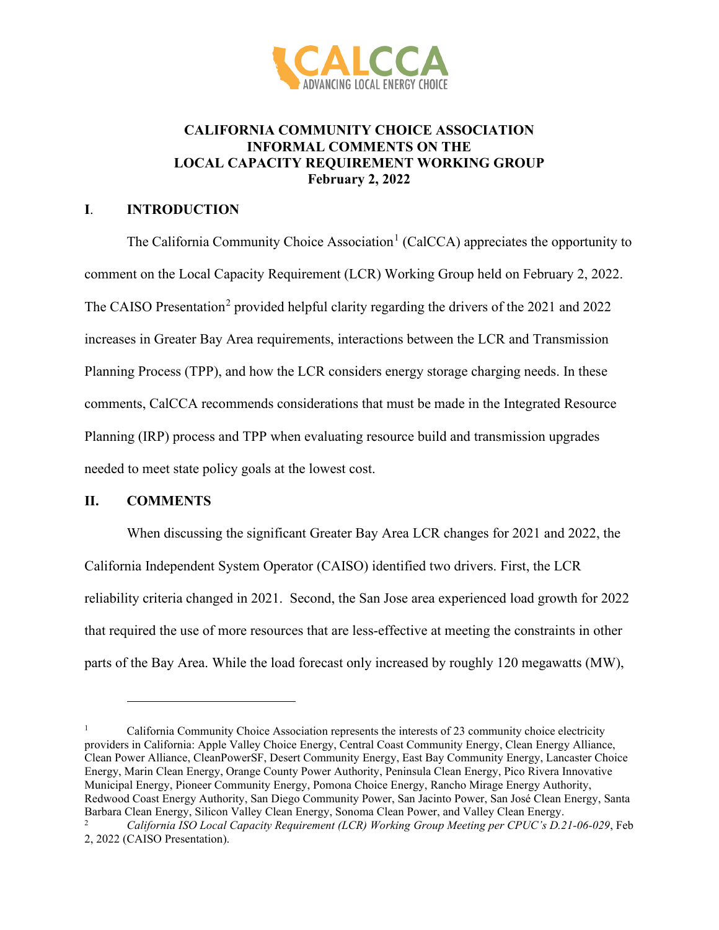

## **CALIFORNIA COMMUNITY CHOICE ASSOCIATION INFORMAL COMMENTS ON THE LOCAL CAPACITY REQUIREMENT WORKING GROUP February 2, 2022**

## **I**. **INTRODUCTION**

The California Community Choice Association<sup>[1](#page-0-0)</sup> (CalCCA) appreciates the opportunity to comment on the Local Capacity Requirement (LCR) Working Group held on February 2, 2022. The CAISO Presentation<sup>[2](#page-0-1)</sup> provided helpful clarity regarding the drivers of the 2021 and 2022 increases in Greater Bay Area requirements, interactions between the LCR and Transmission Planning Process (TPP), and how the LCR considers energy storage charging needs. In these comments, CalCCA recommends considerations that must be made in the Integrated Resource Planning (IRP) process and TPP when evaluating resource build and transmission upgrades needed to meet state policy goals at the lowest cost.

## **II. COMMENTS**

When discussing the significant Greater Bay Area LCR changes for 2021 and 2022, the California Independent System Operator (CAISO) identified two drivers. First, the LCR reliability criteria changed in 2021. Second, the San Jose area experienced load growth for 2022 that required the use of more resources that are less-effective at meeting the constraints in other parts of the Bay Area. While the load forecast only increased by roughly 120 megawatts (MW),

<span id="page-0-0"></span><sup>&</sup>lt;sup>1</sup> California Community Choice Association represents the interests of 23 community choice electricity providers in California: Apple Valley Choice Energy, Central Coast Community Energy, Clean Energy Alliance, Clean Power Alliance, CleanPowerSF, Desert Community Energy, East Bay Community Energy, Lancaster Choice Energy, Marin Clean Energy, Orange County Power Authority, Peninsula Clean Energy, Pico Rivera Innovative Municipal Energy, Pioneer Community Energy, Pomona Choice Energy, Rancho Mirage Energy Authority, Redwood Coast Energy Authority, San Diego Community Power, San Jacinto Power, San José Clean Energy, Santa Barbara Clean Energy, Silicon Valley Clean Energy, Sonoma Clean Power, and Valley Clean Energy.<br><sup>2</sup> California ISO Local Canacity Requirement (LCP) Working Group Meeting per CPLIC's D. 2

<span id="page-0-1"></span><sup>2</sup> *California ISO Local Capacity Requirement (LCR) Working Group Meeting per CPUC's D.21-06-029*, Feb 2, 2022 (CAISO Presentation).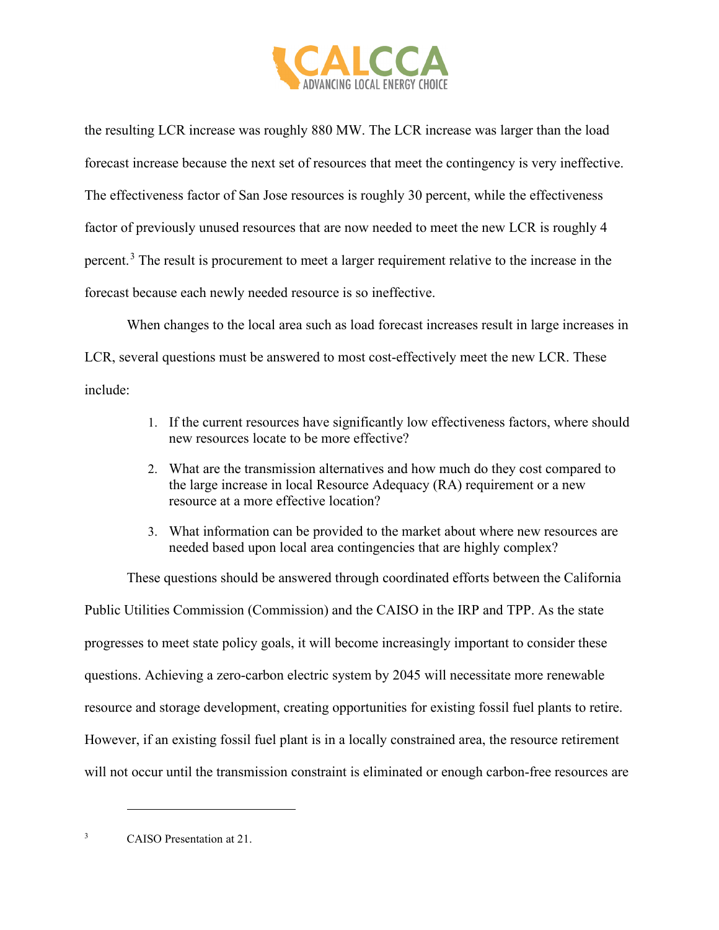

the resulting LCR increase was roughly 880 MW. The LCR increase was larger than the load forecast increase because the next set of resources that meet the contingency is very ineffective. The effectiveness factor of San Jose resources is roughly 30 percent, while the effectiveness factor of previously unused resources that are now needed to meet the new LCR is roughly 4 percent.<sup>[3](#page-1-0)</sup> The result is procurement to meet a larger requirement relative to the increase in the forecast because each newly needed resource is so ineffective.

When changes to the local area such as load forecast increases result in large increases in LCR, several questions must be answered to most cost-effectively meet the new LCR. These include:

- 1. If the current resources have significantly low effectiveness factors, where should new resources locate to be more effective?
- 2. What are the transmission alternatives and how much do they cost compared to the large increase in local Resource Adequacy (RA) requirement or a new resource at a more effective location?
- 3. What information can be provided to the market about where new resources are needed based upon local area contingencies that are highly complex?

These questions should be answered through coordinated efforts between the California Public Utilities Commission (Commission) and the CAISO in the IRP and TPP. As the state progresses to meet state policy goals, it will become increasingly important to consider these questions. Achieving a zero-carbon electric system by 2045 will necessitate more renewable resource and storage development, creating opportunities for existing fossil fuel plants to retire. However, if an existing fossil fuel plant is in a locally constrained area, the resource retirement will not occur until the transmission constraint is eliminated or enough carbon-free resources are

<span id="page-1-0"></span><sup>3</sup> CAISO Presentation at 21.